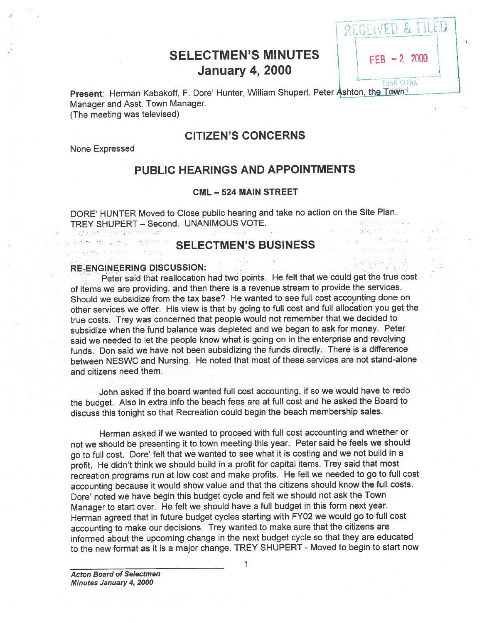## SELECTMEN'S MINUTES  $\vert$   $\vert$  FFB -2 2000 **January 4, 2000**

RECEIVED & FILED

Present: Herman Kabakoff, F. Dore' Hunter, William Shupert, Peter Ashton, the Town Manager and Asst. Town Manager. (The meeting was televised)

### CITIZEN'S CONCERNS

None Expressed

### PUBLIC HEARINGS AND APPOINTMENTS

### CML — 524 MAIN STREET

DORE' HUNTER Moved to Close public hearing and take no action on the Site Plan. TREY SHUPERT - Second. UNANIMOUS VOTE. Show the age that see

## SELECTMEN'S BUSINESS

#### RE-ENGINEERING DISCUSSION

Peter said that reallocation had two points. He felt that we could ge<sup>t</sup> the true cost of items we are providing, and then there is <sup>a</sup> revenue stream to provide the services. Should we subsidize from the tax base? He wanted to see full cost accounting done on other services we offer. His view is that by going to full cost and full allocation you ge<sup>t</sup> the true costs. Trey was concerned that people would not remember that we decided to subsidize when the fund balance was depleted and we began to ask for money. Peter said we needed to let the people know what is going on in the enterprise and revolving funds. Don said we have not been subsidizing the funds directly. There is <sup>a</sup> difference between NESWC and Nursing. He noted that most of these services are not stand-alone and citizens need them.

John asked if the board wanted full cost accounting, if so we would have to redo the budget. Also in extra info the beach fees are at full cost and he asked the Board to discuss this tonight so that Recreation could begin the beach membership sales.

Herman asked if we wanted to procee<sup>d</sup> with full cost accounting and whether or not we should be presenting it to town meeting this year. Peter said he feels we should go to full cost. Dore' felt that we wanted to see what it is costing and we not build in a profit. He didn't think we should build in <sup>a</sup> profit for capital items. Trey said that most recreation programs run at low cost and make profits. He felt we needed to go to full cost accounting because it would show value and that the citizens should know the full costs. Dore' noted we have begin this budget cycle and felt we should not ask the Town Manager to start over. He felt we should have <sup>a</sup> full budget in this form next year. Herman agree<sup>d</sup> that in future budget cycles starting with FY02 we would go to full cost accounting to make our decisions. Trey wanted to make sure that the citizens are informed about the upcoming change in the next budget cycle so that they are educated to the new format as it is <sup>a</sup> major change. TREY SHUPERT - Moved to begin to start now

1

Acton Board of Selectmen Minutes January 4, 2000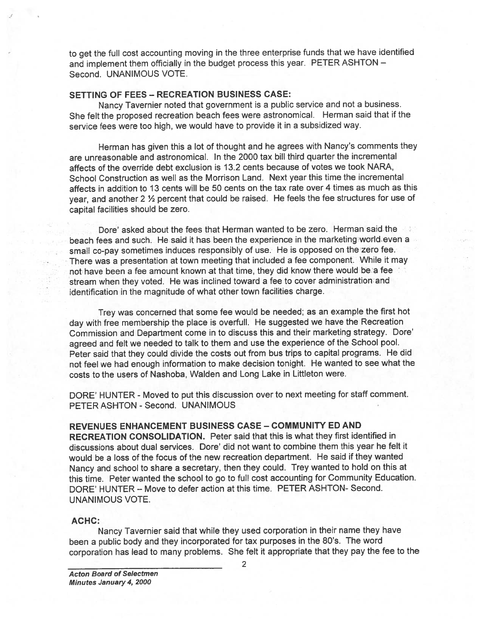to ge<sup>t</sup> the full cost accounting moving in the three enterprise funds that we have identified and implement them officially in the budget process this year. PETER ASHTON — Second. UNANIMOUS VOTE.

### SETTING OF FEES — RECREATION BUSINESS CASE:

Nancy Tavernier noted that governmen<sup>t</sup> is <sup>a</sup> public service and not <sup>a</sup> business. She felt the propose<sup>d</sup> recreation beach fees were astronomical. Herman said that if the service fees were too high, we would have to provide it in <sup>a</sup> subsidized way.

Herman has <sup>g</sup>iven this <sup>a</sup> lot of thought and he agrees with Nancy's comments they are unreasonable and astronomical. In the 2000 tax bill third quarter the incremental affects of the override debt exclusion is 13.2 cents because of votes we took NARA, School Construction as well as the Morrison Land. Next year this time the incremental affects in addition to 13 cents will be 50 cents on the tax rate over 4 times as much as this year, and another 2  $\frac{1}{2}$  percent that could be raised. He feels the fee structures for use of capital facilities should be zero. to get the full cost accounting moving in the three enterprise funds that we have identified<br>and implement them of dialay in the budget process this year. FETER ASHTON<br>SECOND UNANIMOUS VOTE.<br>SETTING OF FEES – RECREATION BU

Dore' asked about the fees that Herman wanted to be zero. Herman said the beach fees and such. He said it has been the experience in the marketing world-even <sup>a</sup> small co-pay sometimes induces responsibly of use. He is oppose<sup>d</sup> on the zero fee. There was <sup>a</sup> presentation at town meeting that included <sup>a</sup> fee component. While it may not have been a fee amount known at that time, they did know there would be a fee stream when they voted. He was inclined toward <sup>a</sup> fee to cover administration and identification in the magnitude of what other town facilities charge.

Trey was concerned that some fee would be needed; as an example the first hot day with free membership the <sup>p</sup>lace is overfull. He suggested we have the Recreation Commission and Department come in to discuss this and their marketing strategy. Dote' agree<sup>d</sup> and felt we needed to talk to them and use the experience of the School pool. Peter said that they could divide the costs out from bus trips to capital programs. He did not feel we had enoug<sup>h</sup> information to make decision tonight. He wanted to see what the costs to the users of Nashoba, Walden and Long Lake in Littleton were.

DORE' HUNTER - Moved to pu<sup>t</sup> this discussion over to next meeting for staff comment. PETER ASHTON - Second. UNANIMOUS

### REVENUES ENHANCEMENT BUSINESS CASE — COMMUNITY ED AND

RECREATION CONSOLIDATION. Peter said that this is what they first identified in discussions about dual services. Dore' did not want to combine them this year he felt it would be <sup>a</sup> loss of the focus of the new recreation department. He said if they wanted Nancy and school to share <sup>a</sup> secretary, then they could. Trey wanted to hold on this at this time. Peter wanted the school to go to full cost accounting for Community Education. DORE' HUNTER — Move to defer action at this time. PETER ASHTON- Second. UNANIMOUS VOTE.

#### ACHC:

Nancy Tavernier said that while they used corporation in their name they have been a public body and they incorporated for tax purposes in the 80's. The word<br>corporation has lead to many problems. She felt it appropriate that they pay the fee to the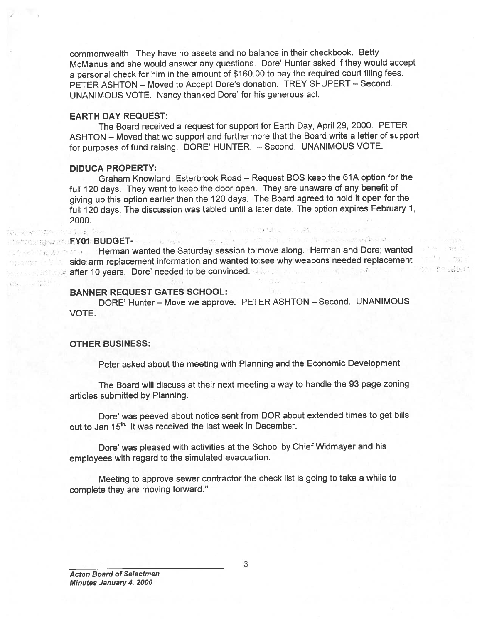commonwealth. They have no assets and no balance in their checkbook. Betty McManus and she would answer any questions. Dore' Hunter asked if they would accep<sup>t</sup> <sup>a</sup> persona<sup>l</sup> check for him in the amount of \$160.00 to pay the required court filing fees. PETER ASHTON — Moved to Accept Dote's donation. TREY SHUPERT — Second. UNANIMOUS VOTE. Nancy thanked Dote' for his generous act.

#### EARTH DAY REQUEST:

The Board received <sup>a</sup> reques<sup>t</sup> for suppor<sup>t</sup> for Earth Day, April 29, 2000. PETER ASHTON — Moved that we suppor<sup>t</sup> and furthermore that the Board write <sup>a</sup> letter of suppor<sup>t</sup> for purposes of fund raising. DORE' HUNTER. — Second. UNANIMOUS VOTE.

### DiDUCA PROPERTY:

Graham Knowland, Esterbrook Road — Request BOS keep the 61A option for the full <sup>120</sup> days. They want to keep the door open. They are unaware of any benefit of <sup>g</sup>iving up this option earlier then the <sup>120</sup> days. The Board agree<sup>d</sup> to hold it open for the full <sup>120</sup> days. The discussion was tabled until <sup>a</sup> later date. The option expires February 1, 2000. commonwealth. They have no assets McManus and she would answer any q<br>
a personal check for him in the amount<br>
PETER ASHTON – Moved to Accept C<br>
UNANIMOUS VOTE. Nancy thanked I<br>
EARTH DAY REQUEST:<br>
The Board received a requ

그것은 잘해 들어 있다.

Shifth salest

### FY01 BUDGET- And the first state of the second state of the second state of the second state of the second state of the second state of the second state of the second state of the second state of the second state of the se

فالمعاصل يتغير

**Herman wanted the Saturday session to move along. Herman and Dore; wanted • •... side arm replacement information and wanted to see why weapons needed replacement** and the after 10 years. Dore' needed to be convinced. When the second seconds that the conv

#### BANNER REQUEST GATES SCHOOL:

DORE' Hunter — Move we approve. PETER ASHTON — Second. UNANIMOUS VOTE.

#### OTHER BUSINESS:

Peter asked about the meeting with Planning and the Economic Development

The Board will discuss at their next meeting <sup>a</sup> way to handle the 93 page zoning articles submitted by Planning.

Dore' was peeved about notice sent from DOR about extended times to get bills out to Jan 15<sup>th.</sup> It was received the last week in December.

Dore' was <sup>p</sup>leased with activities at the School by Chief Widmayer and his employees with regar<sup>d</sup> to the simulated evacuation.

Meeting to approve sewer contractor the check list is going to take <sup>a</sup> while to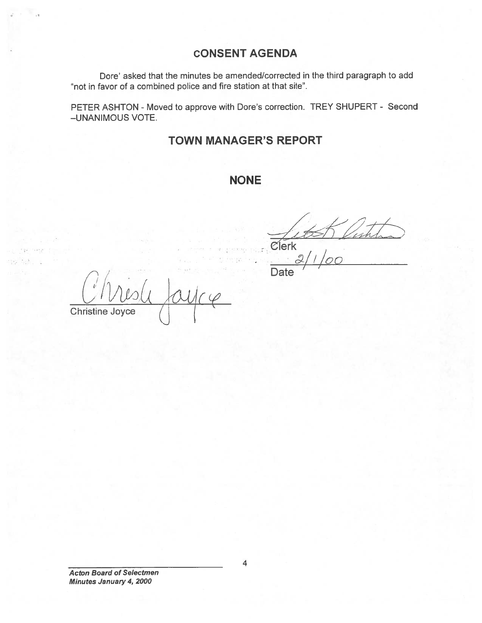## CONSENT AGENDA

Dore' asked that the minutes be amended/corrected in the third paragraph to add "not in favor of <sup>a</sup> combined police and fire station at that site".

PETER ASHTON - Moved to approve with Dore's correction. TREY SHUPERT - Second —UNANIMOUS VOTE.

## TOWN MANAGER'S REPORT

## NONE

Clerk  $C$ lerk $\frac{2}{100}$ 

Date '

Chri Christine Joyce  $\alpha$ UIC $\varphi$ 

Acton Board of Selectmen Minutes January 4, 2000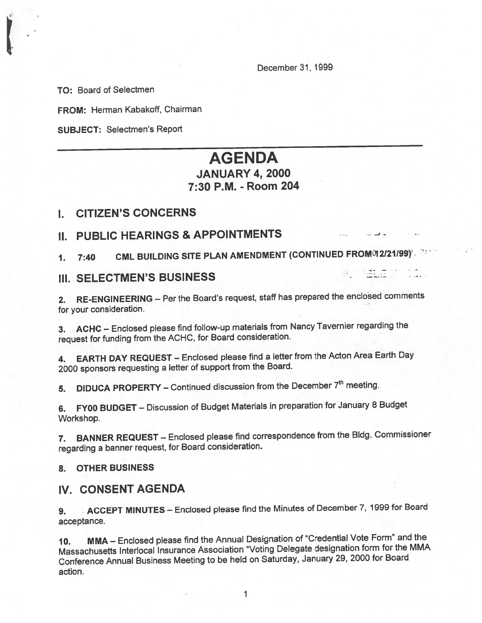December31, 1999

在 一時 語

TO: Board of Selectmen

FROM: Herman Kabakoff, Chairman

SUBJECT: Selectmen's Report

# AGENDA JANUARY 4, 2000 7:30 P.M. - Room 204

### I. CITIZEN'S CONCERNS

## II. PUBLIC HEARINGS & APPOINTMENTS

1. 7:40 CML BUILDING SITE PLAN AMENDMENT (CONTINUED FROM 12/21/99).

### III. SELECTMEN'S BUSINESS

2. RE-ENGINEERING — Per the Board's request, staff has prepare<sup>d</sup> the enclosed comments for your consideration.

3. ACHC — Enclosed <sup>p</sup>lease find follow-up materials from Nancy Tavernier regarding the reques<sup>t</sup> for funding from the ACHC, for Board consideration.

4. EARTH DAY REQUEST — Enclosed <sup>p</sup>lease find <sup>a</sup> letter from the Acton Area Earth Day <sup>2000</sup> sponsors requesting <sup>a</sup> letter of suppor<sup>t</sup> from the Board.

5. DIDUCA PROPERTY – Continued discussion from the December  $7<sup>th</sup>$  meeting.

6. FY00 BUDGET — Discussion of Budget Materials in preparation for January <sup>8</sup> Budget Workshop.

7. BANNER REQUEST — Enclosed <sup>p</sup>lease find correspondence from the Bldg. Commissioner regarding <sup>a</sup> banner request, for Board consideration.

8. OTHER BUSINESS

### IV. CONSENT AGENDA

9. ACCEPT MINUTES — Enclosed <sup>p</sup>lease find the Minutes of December 7, <sup>1999</sup> for Board acceptance.

10. MMA — Enclosed <sup>p</sup>lease find the Annual Designation of "Credential Vote Form" and the Massachusetts Interlocal Insurance Association "Voting Delegate designation form for the MMA Conference Annual Business Meeting to be held on Saturday, January 29, <sup>2000</sup> for Board action.